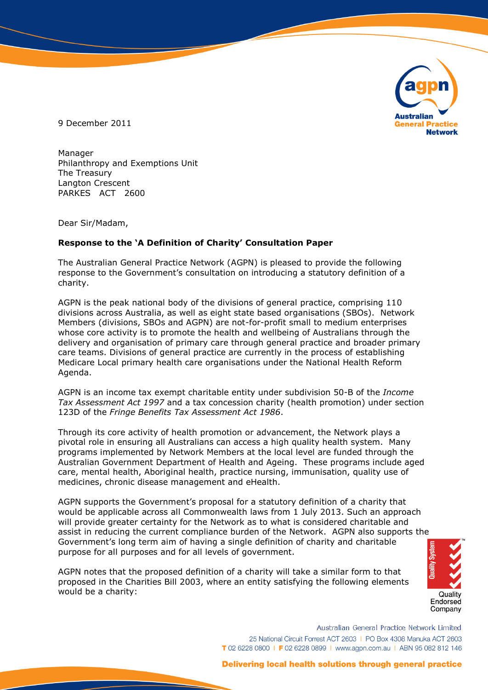

9 December 2011

Manager Philanthropy and Exemptions Unit The Treasury Langton Crescent PARKES ACT 2600

Dear Sir/Madam,

## **Response to the 'A Definition of Charity' Consultation Paper**

The Australian General Practice Network (AGPN) is pleased to provide the following response to the Government's consultation on introducing a statutory definition of a charity.

AGPN is the peak national body of the divisions of general practice, comprising 110 divisions across Australia, as well as eight state based organisations (SBOs). Network Members (divisions, SBOs and AGPN) are not-for-profit small to medium enterprises whose core activity is to promote the health and wellbeing of Australians through the delivery and organisation of primary care through general practice and broader primary care teams. Divisions of general practice are currently in the process of establishing Medicare Local primary health care organisations under the National Health Reform Agenda.

AGPN is an income tax exempt charitable entity under subdivision 50-B of the *Income Tax Assessment Act 1997* and a tax concession charity (health promotion) under section 123D of the *Fringe Benefits Tax Assessment Act 1986*.

Through its core activity of health promotion or advancement, the Network plays a pivotal role in ensuring all Australians can access a high quality health system. Many programs implemented by Network Members at the local level are funded through the Australian Government Department of Health and Ageing. These programs include aged care, mental health, Aboriginal health, practice nursing, immunisation, quality use of medicines, chronic disease management and eHealth.

AGPN supports the Government's proposal for a statutory definition of a charity that would be applicable across all Commonwealth laws from 1 July 2013. Such an approach will provide greater certainty for the Network as to what is considered charitable and assist in reducing the current compliance burden of the Network. AGPN also supports the Government's long term aim of having a single definition of charity and charitable purpose for all purposes and for all levels of government.

AGPN notes that the proposed definition of a charity will take a similar form to that proposed in the Charities Bill 2003, where an entity satisfying the following elements would be a charity:

Quality Endorsed Company

Australian General Practice Network Limited 25 National Circuit Forrest ACT 2603 | PO Box 4308 Manuka ACT 2603 T 02 6228 0800 | F 02 6228 0899 | www.agpn.com.au | ABN 95 082 812 146

## Delivering local health solutions through general practice